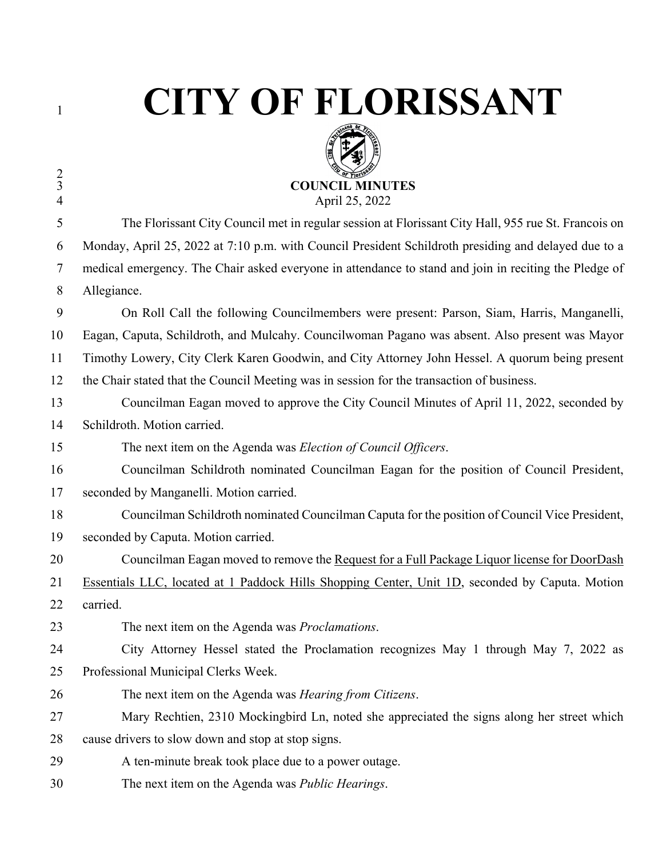$\frac{2}{3}$ 

## **CITY OF FLORISSANT**



| $\overline{4}$ | April 25, 2022                                                                                        |
|----------------|-------------------------------------------------------------------------------------------------------|
| 5              | The Florissant City Council met in regular session at Florissant City Hall, 955 rue St. Francois on   |
| 6              | Monday, April 25, 2022 at 7:10 p.m. with Council President Schildroth presiding and delayed due to a  |
| 7              | medical emergency. The Chair asked everyone in attendance to stand and join in reciting the Pledge of |
| 8              | Allegiance.                                                                                           |
| 9              | On Roll Call the following Councilmembers were present: Parson, Siam, Harris, Manganelli,             |
| 10             | Eagan, Caputa, Schildroth, and Mulcahy. Councilwoman Pagano was absent. Also present was Mayor        |
| 11             | Timothy Lowery, City Clerk Karen Goodwin, and City Attorney John Hessel. A quorum being present       |
| 12             | the Chair stated that the Council Meeting was in session for the transaction of business.             |
| 13             | Councilman Eagan moved to approve the City Council Minutes of April 11, 2022, seconded by             |
| 14             | Schildroth. Motion carried.                                                                           |
| 15             | The next item on the Agenda was Election of Council Officers.                                         |
| 16             | Councilman Schildroth nominated Councilman Eagan for the position of Council President,               |
| 17             | seconded by Manganelli. Motion carried.                                                               |
| 18             | Councilman Schildroth nominated Councilman Caputa for the position of Council Vice President,         |
| 19             | seconded by Caputa. Motion carried.                                                                   |
| 20             | Councilman Eagan moved to remove the Request for a Full Package Liquor license for DoorDash           |
| 21             | Essentials LLC, located at 1 Paddock Hills Shopping Center, Unit 1D, seconded by Caputa. Motion       |
| 22             | carried.                                                                                              |
| 23             | The next item on the Agenda was <i>Proclamations</i> .                                                |
| 24             | City Attorney Hessel stated the Proclamation recognizes May 1 through May 7, 2022 as                  |
| 25             | Professional Municipal Clerks Week.                                                                   |
| 26             | The next item on the Agenda was Hearing from Citizens.                                                |
| 27             | Mary Rechtien, 2310 Mockingbird Ln, noted she appreciated the signs along her street which            |
| 28             | cause drivers to slow down and stop at stop signs.                                                    |
| 29             | A ten-minute break took place due to a power outage.                                                  |
| 30             | The next item on the Agenda was <i>Public Hearings</i> .                                              |
|                |                                                                                                       |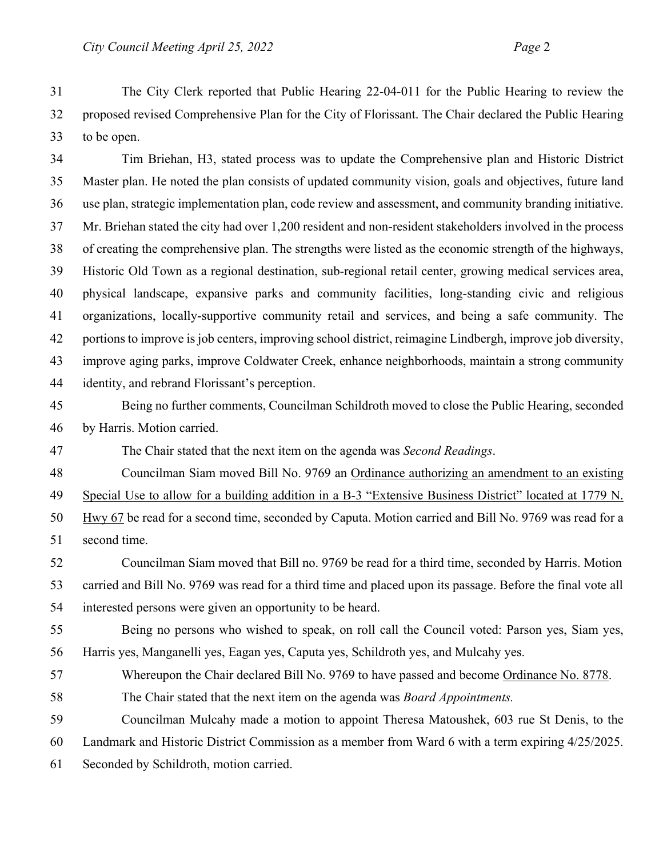The City Clerk reported that Public Hearing 22-04-011 for the Public Hearing to review the proposed revised Comprehensive Plan for the City of Florissant. The Chair declared the Public Hearing to be open.

 Tim Briehan, H3, stated process was to update the Comprehensive plan and Historic District Master plan. He noted the plan consists of updated community vision, goals and objectives, future land use plan, strategic implementation plan, code review and assessment, and community branding initiative. Mr. Briehan stated the city had over 1,200 resident and non-resident stakeholders involved in the process of creating the comprehensive plan. The strengths were listed as the economic strength of the highways, Historic Old Town as a regional destination, sub-regional retail center, growing medical services area, physical landscape, expansive parks and community facilities, long-standing civic and religious organizations, locally-supportive community retail and services, and being a safe community. The portions to improve is job centers, improving school district, reimagine Lindbergh, improve job diversity, improve aging parks, improve Coldwater Creek, enhance neighborhoods, maintain a strong community identity, and rebrand Florissant's perception.

- Being no further comments, Councilman Schildroth moved to close the Public Hearing, seconded by Harris. Motion carried.
- The Chair stated that the next item on the agenda was *Second Readings*.

Councilman Siam moved Bill No. 9769 an Ordinance authorizing an amendment to an existing

Special Use to allow for a building addition in a B-3 "Extensive Business District" located at 1779 N.

 Hwy 67 be read for a second time, seconded by Caputa. Motion carried and Bill No. 9769 was read for a second time.

 Councilman Siam moved that Bill no. 9769 be read for a third time, seconded by Harris. Motion carried and Bill No. 9769 was read for a third time and placed upon its passage. Before the final vote all interested persons were given an opportunity to be heard.

 Being no persons who wished to speak, on roll call the Council voted: Parson yes, Siam yes, Harris yes, Manganelli yes, Eagan yes, Caputa yes, Schildroth yes, and Mulcahy yes.

Whereupon the Chair declared Bill No. 9769 to have passed and become Ordinance No. 8778.

The Chair stated that the next item on the agenda was *Board Appointments.* 

Councilman Mulcahy made a motion to appoint Theresa Matoushek, 603 rue St Denis, to the

Landmark and Historic District Commission as a member from Ward 6 with a term expiring 4/25/2025.

Seconded by Schildroth, motion carried.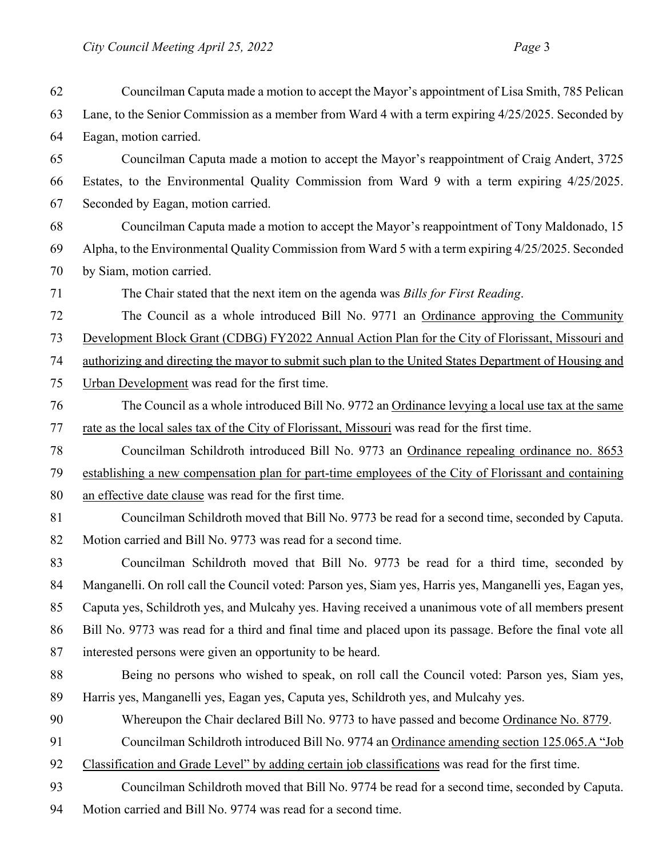Councilman Caputa made a motion to accept the Mayor's appointment of Lisa Smith, 785 Pelican Lane, to the Senior Commission as a member from Ward 4 with a term expiring 4/25/2025. Seconded by Eagan, motion carried. Councilman Caputa made a motion to accept the Mayor's reappointment of Craig Andert, 3725 Estates, to the Environmental Quality Commission from Ward 9 with a term expiring 4/25/2025. Seconded by Eagan, motion carried. Councilman Caputa made a motion to accept the Mayor's reappointment of Tony Maldonado, 15 Alpha, to the Environmental Quality Commission from Ward 5 with a term expiring 4/25/2025. Seconded by Siam, motion carried. The Chair stated that the next item on the agenda was *Bills for First Reading*. The Council as a whole introduced Bill No. 9771 an Ordinance approving the Community Development Block Grant (CDBG) FY2022 Annual Action Plan for the City of Florissant, Missouri and authorizing and directing the mayor to submit such plan to the United States Department of Housing and Urban Development was read for the first time. The Council as a whole introduced Bill No. 9772 an Ordinance levying a local use tax at the same rate as the local sales tax of the City of Florissant, Missouri was read for the first time. Councilman Schildroth introduced Bill No. 9773 an Ordinance repealing ordinance no. 8653 establishing a new compensation plan for part-time employees of the City of Florissant and containing an effective date clause was read for the first time. Councilman Schildroth moved that Bill No. 9773 be read for a second time, seconded by Caputa. Motion carried and Bill No. 9773 was read for a second time. Councilman Schildroth moved that Bill No. 9773 be read for a third time, seconded by Manganelli. On roll call the Council voted: Parson yes, Siam yes, Harris yes, Manganelli yes, Eagan yes, Caputa yes, Schildroth yes, and Mulcahy yes. Having received a unanimous vote of all members present Bill No. 9773 was read for a third and final time and placed upon its passage. Before the final vote all interested persons were given an opportunity to be heard. Being no persons who wished to speak, on roll call the Council voted: Parson yes, Siam yes, Harris yes, Manganelli yes, Eagan yes, Caputa yes, Schildroth yes, and Mulcahy yes. 90 Whereupon the Chair declared Bill No. 9773 to have passed and become Ordinance No. 8779. Councilman Schildroth introduced Bill No. 9774 an Ordinance amending section 125.065.A "Job Classification and Grade Level" by adding certain job classifications was read for the first time. Councilman Schildroth moved that Bill No. 9774 be read for a second time, seconded by Caputa. Motion carried and Bill No. 9774 was read for a second time.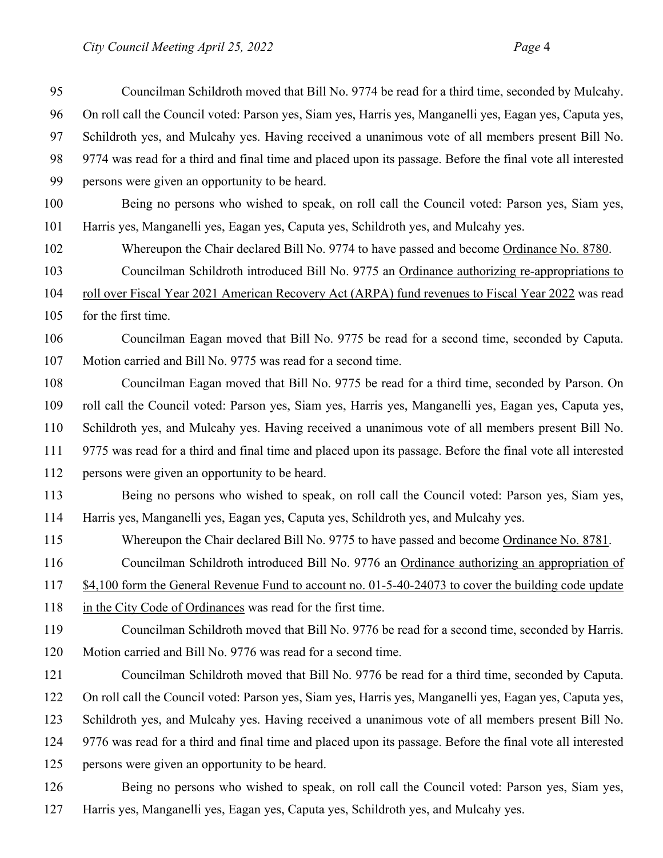| 95  | Councilman Schildroth moved that Bill No. 9774 be read for a third time, seconded by Mulcahy.              |
|-----|------------------------------------------------------------------------------------------------------------|
| 96  | On roll call the Council voted: Parson yes, Siam yes, Harris yes, Manganelli yes, Eagan yes, Caputa yes,   |
| 97  | Schildroth yes, and Mulcahy yes. Having received a unanimous vote of all members present Bill No.          |
| 98  | 9774 was read for a third and final time and placed upon its passage. Before the final vote all interested |
| 99  | persons were given an opportunity to be heard.                                                             |
| 100 | Being no persons who wished to speak, on roll call the Council voted: Parson yes, Siam yes,                |
| 101 | Harris yes, Manganelli yes, Eagan yes, Caputa yes, Schildroth yes, and Mulcahy yes.                        |
| 102 | Whereupon the Chair declared Bill No. 9774 to have passed and become Ordinance No. 8780.                   |
| 103 | Councilman Schildroth introduced Bill No. 9775 an Ordinance authorizing re-appropriations to               |
| 104 | roll over Fiscal Year 2021 American Recovery Act (ARPA) fund revenues to Fiscal Year 2022 was read         |
| 105 | for the first time.                                                                                        |
| 106 | Councilman Eagan moved that Bill No. 9775 be read for a second time, seconded by Caputa.                   |
| 107 | Motion carried and Bill No. 9775 was read for a second time.                                               |
| 108 | Councilman Eagan moved that Bill No. 9775 be read for a third time, seconded by Parson. On                 |
| 109 | roll call the Council voted: Parson yes, Siam yes, Harris yes, Manganelli yes, Eagan yes, Caputa yes,      |
| 110 | Schildroth yes, and Mulcahy yes. Having received a unanimous vote of all members present Bill No.          |
| 111 | 9775 was read for a third and final time and placed upon its passage. Before the final vote all interested |
| 112 | persons were given an opportunity to be heard.                                                             |
| 113 | Being no persons who wished to speak, on roll call the Council voted: Parson yes, Siam yes,                |
| 114 | Harris yes, Manganelli yes, Eagan yes, Caputa yes, Schildroth yes, and Mulcahy yes.                        |
| 115 | Whereupon the Chair declared Bill No. 9775 to have passed and become Ordinance No. 8781.                   |
| 116 | Councilman Schildroth introduced Bill No. 9776 an Ordinance authorizing an appropriation of                |
| 117 | \$4,100 form the General Revenue Fund to account no. 01-5-40-24073 to cover the building code update       |
| 118 | in the City Code of Ordinances was read for the first time.                                                |
| 119 | Councilman Schildroth moved that Bill No. 9776 be read for a second time, seconded by Harris.              |
| 120 | Motion carried and Bill No. 9776 was read for a second time.                                               |
| 121 | Councilman Schildroth moved that Bill No. 9776 be read for a third time, seconded by Caputa.               |
| 122 | On roll call the Council voted: Parson yes, Siam yes, Harris yes, Manganelli yes, Eagan yes, Caputa yes,   |
| 123 | Schildroth yes, and Mulcahy yes. Having received a unanimous vote of all members present Bill No.          |
| 124 | 9776 was read for a third and final time and placed upon its passage. Before the final vote all interested |
| 125 | persons were given an opportunity to be heard.                                                             |
| 126 | Being no persons who wished to speak, on roll call the Council voted: Parson yes, Siam yes,                |
|     |                                                                                                            |

Harris yes, Manganelli yes, Eagan yes, Caputa yes, Schildroth yes, and Mulcahy yes.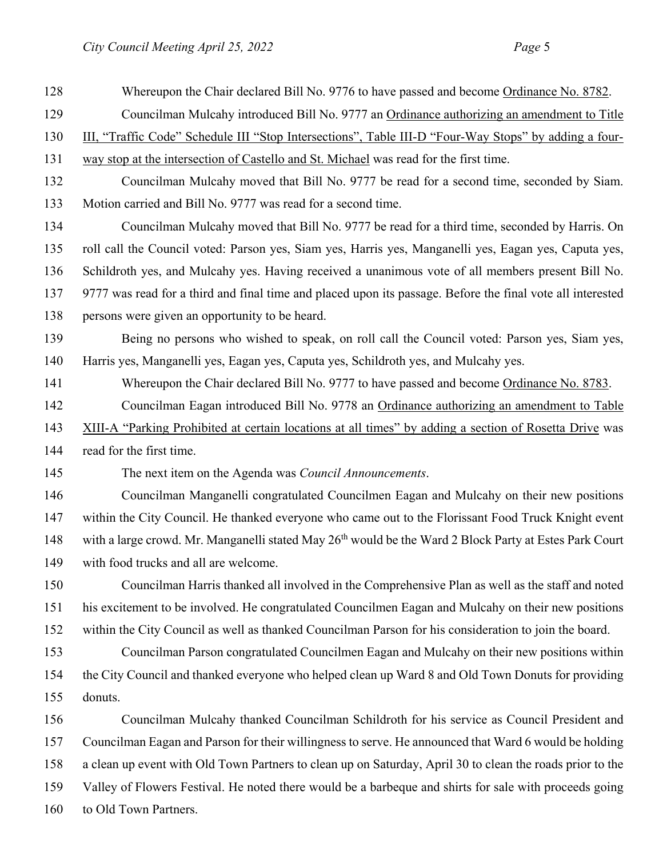| 128 | Whereupon the Chair declared Bill No. 9776 to have passed and become Ordinance No. 8782.                           |  |  |
|-----|--------------------------------------------------------------------------------------------------------------------|--|--|
| 129 | Councilman Mulcahy introduced Bill No. 9777 an Ordinance authorizing an amendment to Title                         |  |  |
| 130 | III, "Traffic Code" Schedule III "Stop Intersections", Table III-D "Four-Way Stops" by adding a four-              |  |  |
| 131 | way stop at the intersection of Castello and St. Michael was read for the first time.                              |  |  |
| 132 | Councilman Mulcahy moved that Bill No. 9777 be read for a second time, seconded by Siam.                           |  |  |
| 133 | Motion carried and Bill No. 9777 was read for a second time.                                                       |  |  |
| 134 | Councilman Mulcahy moved that Bill No. 9777 be read for a third time, seconded by Harris. On                       |  |  |
| 135 | roll call the Council voted: Parson yes, Siam yes, Harris yes, Manganelli yes, Eagan yes, Caputa yes,              |  |  |
| 136 | Schildroth yes, and Mulcahy yes. Having received a unanimous vote of all members present Bill No.                  |  |  |
| 137 | 9777 was read for a third and final time and placed upon its passage. Before the final vote all interested         |  |  |
| 138 | persons were given an opportunity to be heard.                                                                     |  |  |
| 139 | Being no persons who wished to speak, on roll call the Council voted: Parson yes, Siam yes,                        |  |  |
| 140 | Harris yes, Manganelli yes, Eagan yes, Caputa yes, Schildroth yes, and Mulcahy yes.                                |  |  |
| 141 | Whereupon the Chair declared Bill No. 9777 to have passed and become Ordinance No. 8783.                           |  |  |
| 142 | Councilman Eagan introduced Bill No. 9778 an Ordinance authorizing an amendment to Table                           |  |  |
| 143 | XIII-A "Parking Prohibited at certain locations at all times" by adding a section of Rosetta Drive was             |  |  |
| 144 | read for the first time.                                                                                           |  |  |
| 145 | The next item on the Agenda was Council Announcements.                                                             |  |  |
| 146 | Councilman Manganelli congratulated Councilmen Eagan and Mulcahy on their new positions                            |  |  |
| 147 | within the City Council. He thanked everyone who came out to the Florissant Food Truck Knight event                |  |  |
| 148 | with a large crowd. Mr. Manganelli stated May 26 <sup>th</sup> would be the Ward 2 Block Party at Estes Park Court |  |  |
| 149 | with food trucks and all are welcome.                                                                              |  |  |
| 150 | Councilman Harris thanked all involved in the Comprehensive Plan as well as the staff and noted                    |  |  |
| 151 | his excitement to be involved. He congratulated Councilmen Eagan and Mulcahy on their new positions                |  |  |
| 152 | within the City Council as well as thanked Councilman Parson for his consideration to join the board.              |  |  |
| 153 | Councilman Parson congratulated Councilmen Eagan and Mulcahy on their new positions within                         |  |  |
| 154 | the City Council and thanked everyone who helped clean up Ward 8 and Old Town Donuts for providing                 |  |  |
| 155 | donuts.                                                                                                            |  |  |
| 156 | Councilman Mulcahy thanked Councilman Schildroth for his service as Council President and                          |  |  |
| 157 | Councilman Eagan and Parson for their willingness to serve. He announced that Ward 6 would be holding              |  |  |
| 158 | a clean up event with Old Town Partners to clean up on Saturday, April 30 to clean the roads prior to the          |  |  |
| 159 | Valley of Flowers Festival. He noted there would be a barbeque and shirts for sale with proceeds going             |  |  |
| 160 | to Old Town Partners.                                                                                              |  |  |